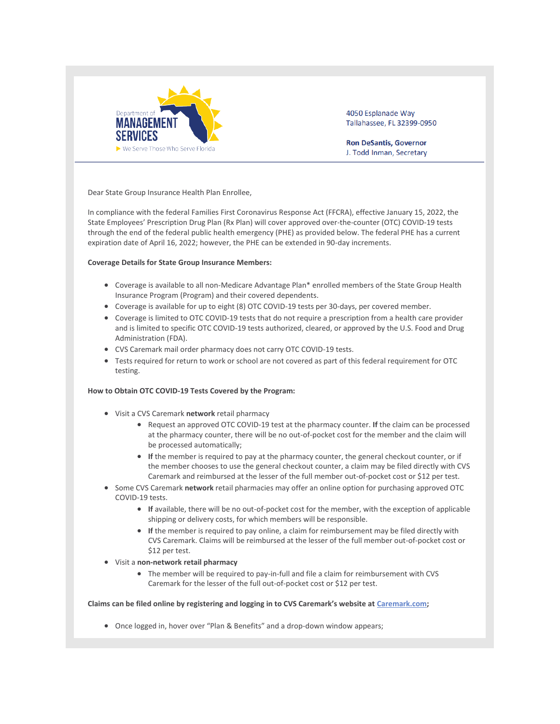

4050 Esplanade Way Tallahassee, FL 32399-0950

**Ron DeSantis, Governor** J. Todd Inman, Secretary

Dear State Group Insurance Health Plan Enrollee,

In compliance with the federal Families First Coronavirus Response Act (FFCRA), effective January 15, 2022, the State Employees' Prescription Drug Plan (Rx Plan) will cover approved over-the-counter (OTC) COVID-19 tests through the end of the federal public health emergency (PHE) as provided below. The federal PHE has a current expiration date of April 16, 2022; however, the PHE can be extended in 90-day increments.

## **Coverage Details for State Group Insurance Members:**

- Coverage is available to all non-Medicare Advantage Plan\* enrolled members of the State Group Health Insurance Program (Program) and their covered dependents.
- Coverage is available for up to eight (8) OTC COVID-19 tests per 30-days, per covered member.
- Coverage is limited to OTC COVID-19 tests that do not require a prescription from a health care provider and is limited to specific OTC COVID-19 tests authorized, cleared, or approved by the U.S. Food and Drug Administration (FDA).
- CVS Caremark mail order pharmacy does not carry OTC COVID-19 tests.
- Tests required for return to work or school are not covered as part of this federal requirement for OTC testing.

## **How to Obtain OTC COVID-19 Tests Covered by the Program:**

- Visit a CVS Caremark **network** retail pharmacy
	- Request an approved OTC COVID-19 test at the pharmacy counter. **If** the claim can be processed at the pharmacy counter, there will be no out-of-pocket cost for the member and the claim will be processed automatically;
	- **If** the member is required to pay at the pharmacy counter, the general checkout counter, or if the member chooses to use the general checkout counter, a claim may be filed directly with CVS Caremark and reimbursed at the lesser of the full member out-of-pocket cost or \$12 per test.
- Some CVS Caremark **network** retail pharmacies may offer an online option for purchasing approved OTC COVID-19 tests.
	- **If** available, there will be no out-of-pocket cost for the member, with the exception of applicable shipping or delivery costs, for which members will be responsible.
	- **If** the member is required to pay online, a claim for reimbursement may be filed directly with CVS Caremark. Claims will be reimbursed at the lesser of the full member out-of-pocket cost or \$12 per test.
- Visit a **non-network retail pharmacy**
	- The member will be required to pay-in-full and file a claim for reimbursement with CVS Caremark for the lesser of the full out-of-pocket cost or \$12 per test.

## **Claims can be filed online by registering and logging in to CVS Caremark's website at [Caremark.com;](https://nam04.safelinks.protection.outlook.com/?url=https%3A%2F%2Fr20.rs6.net%2Ftn.jsp%3Ff%3D001wVhR93maDY_xk1IgnFMgBL6ccWqpkg0i6uJpNXuPbLkt_rVATQen8iGXFw7i5L94NLPZHmJBpiblciYYcN46R6GVO9aeWDVeD62HXuGR7oh6eaXZkF-AYAU9n2gBcvdV_Y2vrLoy-2aKir5bV2pmgA%3D%3D%26c%3DGaX-wNhVaVKS4Kv9CUw_MHa2no_9rYVZvQbXro9xS112sQbN_A_10w%3D%3D%26ch%3DFC1hYIkKf2LIQCXlErLvr9BhcpzU1fYF4nVqOLk2vG5cebBGyshRHw%3D%3D&data=04%7C01%7Cpmccabe%40fgcu.edu%7C9b254be3aafd47f302e808d9eb496473%7Cf7a5a4ef4ffa4c80bfb3c12e28872099%7C0%7C0%7C637799522724584968%7CUnknown%7CTWFpbGZsb3d8eyJWIjoiMC4wLjAwMDAiLCJQIjoiV2luMzIiLCJBTiI6Ik1haWwiLCJXVCI6Mn0%3D%7C3000&sdata=9lDtRTepsiDQMbPdlOgD3xaoaq%2BXvYLkrOKedg%2Fbzsg%3D&reserved=0)**

• Once logged in, hover over "Plan & Benefits" and a drop-down window appears;